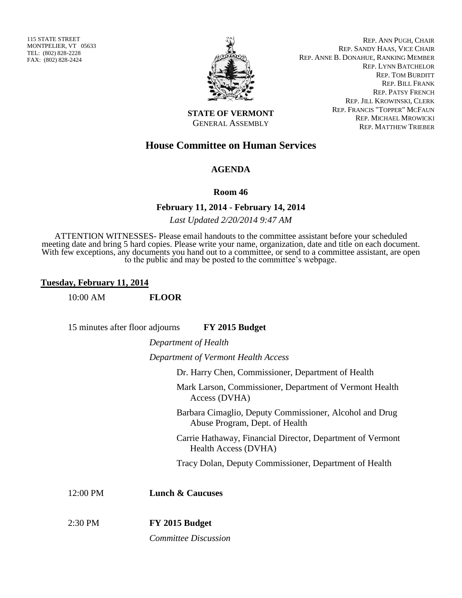115 STATE STREET MONTPELIER, VT 05633 TEL: (802) 828-2228 FAX: (802) 828-2424



REP. ANN PUGH, CHAIR REP. SANDY HAAS, VICE CHAIR REP. ANNE B. DONAHUE, RANKING MEMBER REP. LYNN BATCHELOR REP. TOM BURDITT REP. BILL FRANK REP. PATSY FRENCH REP. JILL KROWINSKI, CLERK REP. FRANCIS "TOPPER" MCFAUN REP. MICHAEL MROWICKI REP. MATTHEW TRIEBER

**STATE OF VERMONT** GENERAL ASSEMBLY

# **House Committee on Human Services**

# **AGENDA**

#### **Room 46**

## **February 11, 2014 - February 14, 2014**

*Last Updated 2/20/2014 9:47 AM*

ATTENTION WITNESSES- Please email handouts to the committee assistant before your scheduled meeting date and bring 5 hard copies. Please write your name, organization, date and title on each document. With few exceptions, any documents you hand out to a committee, or send to a committee assistant, are open to the public and may be posted to the committee's webpage.

## **Tuesday, February 11, 2014**

10:00 AM **FLOOR**

15 minutes after floor adjourns **FY 2015 Budget**

*Department of Health*

*Department of Vermont Health Access*

Dr. Harry Chen, Commissioner, Department of Health

Mark Larson, Commissioner, Department of Vermont Health Access (DVHA)

Barbara Cimaglio, Deputy Commissioner, Alcohol and Drug Abuse Program, Dept. of Health

Carrie Hathaway, Financial Director, Department of Vermont Health Access (DVHA)

Tracy Dolan, Deputy Commissioner, Department of Health

12:00 PM **Lunch & Caucuses**

2:30 PM **FY 2015 Budget** *Committee Discussion*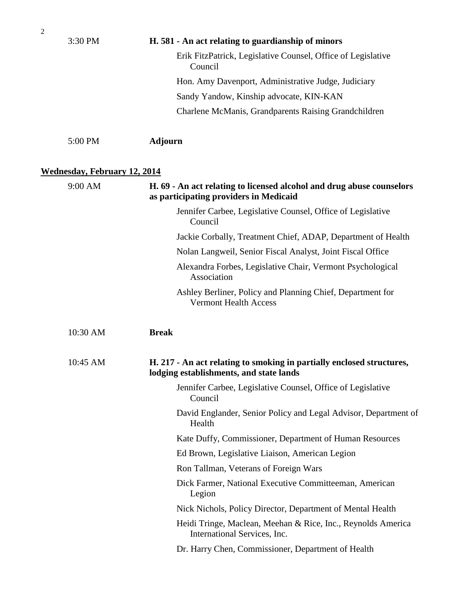| $\overline{2}$ |                                     |                                                                                                                  |
|----------------|-------------------------------------|------------------------------------------------------------------------------------------------------------------|
|                | 3:30 PM                             | H. 581 - An act relating to guardianship of minors                                                               |
|                |                                     | Erik FitzPatrick, Legislative Counsel, Office of Legislative<br>Council                                          |
|                |                                     | Hon. Amy Davenport, Administrative Judge, Judiciary                                                              |
|                |                                     | Sandy Yandow, Kinship advocate, KIN-KAN                                                                          |
|                |                                     | Charlene McManis, Grandparents Raising Grandchildren                                                             |
|                | 5:00 PM                             | <b>Adjourn</b>                                                                                                   |
|                | <b>Wednesday, February 12, 2014</b> |                                                                                                                  |
|                | 9:00 AM                             | H. 69 - An act relating to licensed alcohol and drug abuse counselors<br>as participating providers in Medicaid  |
|                |                                     | Jennifer Carbee, Legislative Counsel, Office of Legislative<br>Council                                           |
|                |                                     | Jackie Corbally, Treatment Chief, ADAP, Department of Health                                                     |
|                |                                     | Nolan Langweil, Senior Fiscal Analyst, Joint Fiscal Office                                                       |
|                |                                     | Alexandra Forbes, Legislative Chair, Vermont Psychological<br>Association                                        |
|                |                                     | Ashley Berliner, Policy and Planning Chief, Department for<br><b>Vermont Health Access</b>                       |
|                | 10:30 AM                            | <b>Break</b>                                                                                                     |
|                | 10:45 AM                            | H. 217 - An act relating to smoking in partially enclosed structures,<br>lodging establishments, and state lands |
|                |                                     | Jennifer Carbee, Legislative Counsel, Office of Legislative<br>Council                                           |
|                |                                     | David Englander, Senior Policy and Legal Advisor, Department of<br>Health                                        |
|                |                                     | Kate Duffy, Commissioner, Department of Human Resources                                                          |
|                |                                     | Ed Brown, Legislative Liaison, American Legion                                                                   |
|                |                                     | Ron Tallman, Veterans of Foreign Wars                                                                            |
|                |                                     | Dick Farmer, National Executive Committeeman, American<br>Legion                                                 |
|                |                                     | Nick Nichols, Policy Director, Department of Mental Health                                                       |
|                |                                     | Heidi Tringe, Maclean, Meehan & Rice, Inc., Reynolds America<br>International Services, Inc.                     |
|                |                                     | Dr. Harry Chen, Commissioner, Department of Health                                                               |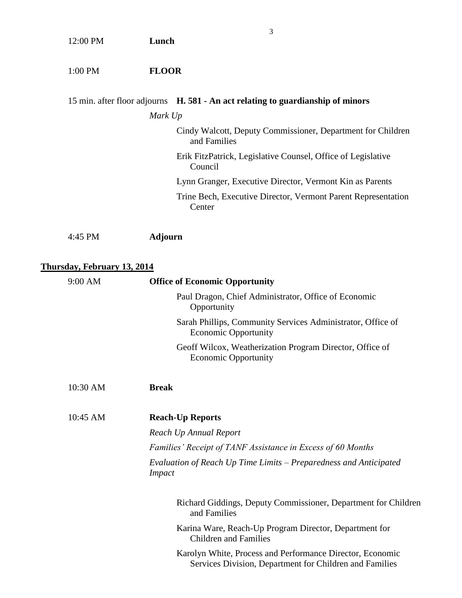| 12:00 PM                           | 3<br>Lunch                                                                                                           |
|------------------------------------|----------------------------------------------------------------------------------------------------------------------|
| 1:00 PM                            | <b>FLOOR</b>                                                                                                         |
|                                    | 15 min. after floor adjourns H. 581 - An act relating to guardianship of minors                                      |
|                                    | Mark Up                                                                                                              |
|                                    | Cindy Walcott, Deputy Commissioner, Department for Children<br>and Families                                          |
|                                    | Erik FitzPatrick, Legislative Counsel, Office of Legislative<br>Council                                              |
|                                    | Lynn Granger, Executive Director, Vermont Kin as Parents                                                             |
|                                    | Trine Bech, Executive Director, Vermont Parent Representation<br>Center                                              |
| 4:45 PM                            | <b>Adjourn</b>                                                                                                       |
| <b>Thursday, February 13, 2014</b> |                                                                                                                      |
| 9:00 AM                            | <b>Office of Economic Opportunity</b>                                                                                |
|                                    | Paul Dragon, Chief Administrator, Office of Economic<br>Opportunity                                                  |
|                                    | Sarah Phillips, Community Services Administrator, Office of<br><b>Economic Opportunity</b>                           |
|                                    | Geoff Wilcox, Weatherization Program Director, Office of<br><b>Economic Opportunity</b>                              |
| 10:30 AM                           | <b>Break</b>                                                                                                         |
| 10:45 AM                           | <b>Reach-Up Reports</b>                                                                                              |
|                                    | Reach Up Annual Report                                                                                               |
|                                    | Families' Receipt of TANF Assistance in Excess of 60 Months                                                          |
|                                    | Evaluation of Reach Up Time Limits – Preparedness and Anticipated<br><i>Impact</i>                                   |
|                                    | Richard Giddings, Deputy Commissioner, Department for Children<br>and Families                                       |
|                                    | Karina Ware, Reach-Up Program Director, Department for<br><b>Children and Families</b>                               |
|                                    | Karolyn White, Process and Performance Director, Economic<br>Services Division, Department for Children and Families |